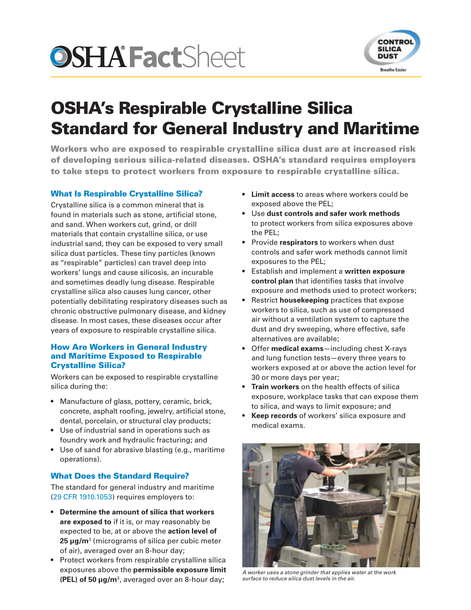# **OSHA'Fact**Sheet



# OSHA's Respirable Crystalline Silica Standard for General Industry and Maritime

Workers who are exposed to respirable crystalline silica dust are at increased risk of developing serious silica-related diseases. OSHA's standard requires employers to take steps to protect workers from exposure to respirable crystalline silica.

# What Is Respirable Crystalline Silica?

Crystalline silica is a common mineral that is found in materials such as stone, artificial stone, and sand. When workers cut, grind, or drill materials that contain crystalline silica, or use industrial sand, they can be exposed to very small silica dust particles. These tiny particles (known as "respirable" particles) can travel deep into workers' lungs and cause silicosis, an incurable and sometimes deadly lung disease. Respirable crystalline silica also causes lung cancer, other potentially debilitating respiratory diseases such as chronic obstructive pulmonary disease, and kidney disease. In most cases, these diseases occur after years of exposure to respirable crystalline silica.

### How Are Workers in General Industry and Maritime Exposed to Respirable Crystalline Silica?

Workers can be exposed to respirable crystalline silica during the:

- Manufacture of glass, pottery, ceramic, brick, concrete, asphalt roofing, jewelry, artificial stone, dental, porcelain, or structural clay products;
- Use of industrial sand in operations such as foundry work and hydraulic fracturing; and
- Use of sand for abrasive blasting (e.g., maritime operations).

# What Does the Standard Require?

The standard for general industry and maritime (29 [CFR 1910.1053](https://www.osha.gov/silica/SilicaGeneralIndustryRegText.pdf)) requires employers to:

- **Determine the amount of silica that workers are exposed to** if it is, or may reasonably be expected to be, at or above the **action level of 25 μg/m**<sup>3</sup> (micrograms of silica per cubic meter of air), averaged over an 8-hour day;
- Protect workers from respirable crystalline silica exposures above the **permissible exposure limit (PEL) of 50 μg/m**<sup>3</sup> , averaged over an 8-hour day;
- **Limit access** to areas where workers could be exposed above the PEL;
- Use **dust controls and safer work methods** to protect workers from silica exposures above the PEL;
- Provide **respirators** to workers when dust controls and safer work methods cannot limit exposures to the PEL;
- Establish and implement a **written exposure control plan** that identifies tasks that involve exposure and methods used to protect workers;
- Restrict **housekeeping** practices that expose workers to silica, such as use of compressed air without a ventilation system to capture the dust and dry sweeping, where effective, safe alternatives are available;
- Offer **medical exams**—including chest X-rays and lung function tests—every three years to workers exposed at or above the action level for 30 or more days per year;
- **Train workers** on the health effects of silica exposure, workplace tasks that can expose them to silica, and ways to limit exposure; and
- **Keep records** of workers' silica exposure and medical exams.



*A worker uses a stone grinder that applies water at the work surface to reduce silica dust levels in the air.*